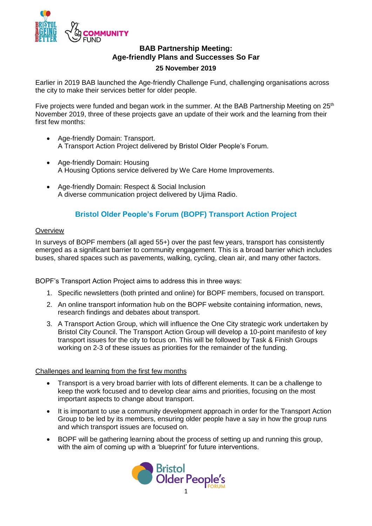

## **BAB Partnership Meeting: Age-friendly Plans and Successes So Far 25 November 2019**

Earlier in 2019 BAB launched the Age-friendly Challenge Fund, challenging organisations across the city to make their services better for older people.

Five projects were funded and began work in the summer. At the BAB Partnership Meeting on 25<sup>th</sup> November 2019, three of these projects gave an update of their work and the learning from their first few months:

- Age-friendly Domain: Transport. A Transport Action Project delivered by Bristol Older People's Forum.
- Age-friendly Domain: Housing A Housing Options service delivered by We Care Home Improvements.
- Age-friendly Domain: Respect & Social Inclusion A diverse communication project delivered by Ujima Radio.

# **Bristol Older People's Forum (BOPF) Transport Action Project**

#### **Overview**

In surveys of BOPF members (all aged 55+) over the past few years, transport has consistently emerged as a significant barrier to community engagement. This is a broad barrier which includes buses, shared spaces such as pavements, walking, cycling, clean air, and many other factors.

BOPF's Transport Action Project aims to address this in three ways:

- 1. Specific newsletters (both printed and online) for BOPF members, focused on transport.
- 2. An online transport information hub on the BOPF website containing information, news, research findings and debates about transport.
- 3. A Transport Action Group, which will influence the One City strategic work undertaken by Bristol City Council. The Transport Action Group will develop a 10-point manifesto of key transport issues for the city to focus on. This will be followed by Task & Finish Groups working on 2-3 of these issues as priorities for the remainder of the funding.

#### Challenges and learning from the first few months

- Transport is a very broad barrier with lots of different elements. It can be a challenge to keep the work focused and to develop clear aims and priorities, focusing on the most important aspects to change about transport.
- It is important to use a community development approach in order for the Transport Action Group to be led by its members, ensuring older people have a say in how the group runs and which transport issues are focused on.
- BOPF will be gathering learning about the process of setting up and running this group, with the aim of coming up with a 'blueprint' for future interventions.

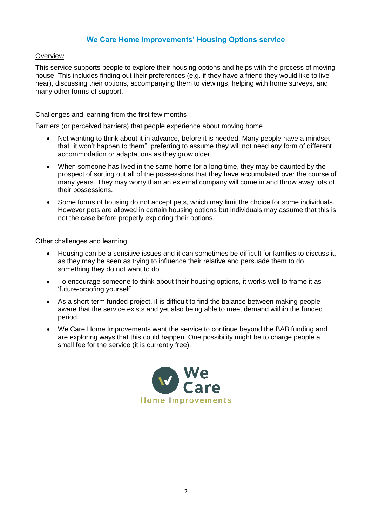## **We Care Home Improvements' Housing Options service**

#### **Overview**

This service supports people to explore their housing options and helps with the process of moving house. This includes finding out their preferences (e.g. if they have a friend they would like to live near), discussing their options, accompanying them to viewings, helping with home surveys, and many other forms of support.

#### Challenges and learning from the first few months

Barriers (or perceived barriers) that people experience about moving home…

- Not wanting to think about it in advance, before it is needed. Many people have a mindset that "it won't happen to them", preferring to assume they will not need any form of different accommodation or adaptations as they grow older.
- When someone has lived in the same home for a long time, they may be daunted by the prospect of sorting out all of the possessions that they have accumulated over the course of many years. They may worry than an external company will come in and throw away lots of their possessions.
- Some forms of housing do not accept pets, which may limit the choice for some individuals. However pets are allowed in certain housing options but individuals may assume that this is not the case before properly exploring their options.

Other challenges and learning…

- Housing can be a sensitive issues and it can sometimes be difficult for families to discuss it, as they may be seen as trying to influence their relative and persuade them to do something they do not want to do.
- To encourage someone to think about their housing options, it works well to frame it as 'future-proofing yourself'.
- As a short-term funded project, it is difficult to find the balance between making people aware that the service exists and yet also being able to meet demand within the funded period.
- We Care Home Improvements want the service to continue beyond the BAB funding and are exploring ways that this could happen. One possibility might be to charge people a small fee for the service (it is currently free).

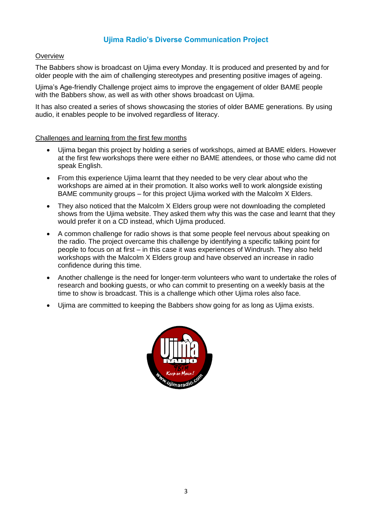## **Ujima Radio's Diverse Communication Project**

#### **Overview**

The Babbers show is broadcast on Ujima every Monday. It is produced and presented by and for older people with the aim of challenging stereotypes and presenting positive images of ageing.

Ujima's Age-friendly Challenge project aims to improve the engagement of older BAME people with the Babbers show, as well as with other shows broadcast on Ujima.

It has also created a series of shows showcasing the stories of older BAME generations. By using audio, it enables people to be involved regardless of literacy.

#### Challenges and learning from the first few months

- Ujima began this project by holding a series of workshops, aimed at BAME elders. However at the first few workshops there were either no BAME attendees, or those who came did not speak English.
- From this experience Ujima learnt that they needed to be very clear about who the workshops are aimed at in their promotion. It also works well to work alongside existing BAME community groups – for this project Ujima worked with the Malcolm X Elders.
- They also noticed that the Malcolm X Elders group were not downloading the completed shows from the Ujima website. They asked them why this was the case and learnt that they would prefer it on a CD instead, which Ujima produced.
- A common challenge for radio shows is that some people feel nervous about speaking on the radio. The project overcame this challenge by identifying a specific talking point for people to focus on at first – in this case it was experiences of Windrush. They also held workshops with the Malcolm X Elders group and have observed an increase in radio confidence during this time.
- Another challenge is the need for longer-term volunteers who want to undertake the roles of research and booking guests, or who can commit to presenting on a weekly basis at the time to show is broadcast. This is a challenge which other Ujima roles also face.
- Ujima are committed to keeping the Babbers show going for as long as Ujima exists.